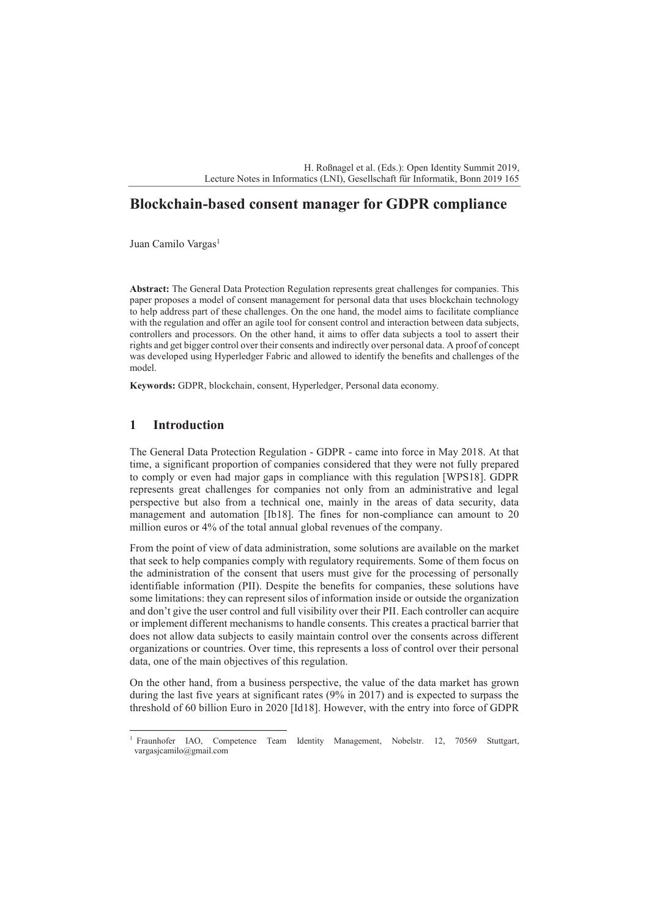H. Roßnagel et al. (Eds.): Open Identity Summit 2019, Lecture Notes in Informatics (LNI), Gesellschaft für Informatik, Bonn 2019 165

# **Blockchain-based consent manager for GDPR compliance**

Juan Camilo Vargas<sup>1</sup>

**Abstract:** The General Data Protection Regulation represents great challenges for companies. This paper proposes a model of consent management for personal data that uses blockchain technology to help address part of these challenges. On the one hand, the model aims to facilitate compliance with the regulation and offer an agile tool for consent control and interaction between data subjects, controllers and processors. On the other hand, it aims to offer data subjects a tool to assert their rights and get bigger control over their consents and indirectly over personal data. A proof of concept was developed using Hyperledger Fabric and allowed to identify the benefits and challenges of the model.

**Keywords:** GDPR, blockchain, consent, Hyperledger, Personal data economy.

## **1 Introduction**

The General Data Protection Regulation - GDPR - came into force in May 2018. At that time, a significant proportion of companies considered that they were not fully prepared to comply or even had major gaps in compliance with this regulation [WPS18]. GDPR represents great challenges for companies not only from an administrative and legal perspective but also from a technical one, mainly in the areas of data security, data management and automation [Ib18]. The fines for non-compliance can amount to 20 million euros or 4% of the total annual global revenues of the company.

From the point of view of data administration, some solutions are available on the market that seek to help companies comply with regulatory requirements. Some of them focus on the administration of the consent that users must give for the processing of personally identifiable information (PII). Despite the benefits for companies, these solutions have some limitations: they can represent silos of information inside or outside the organization and don't give the user control and full visibility over their PII. Each controller can acquire or implement different mechanisms to handle consents. This creates a practical barrier that does not allow data subjects to easily maintain control over the consents across different organizations or countries. Over time, this represents a loss of control over their personal data, one of the main objectives of this regulation.

On the other hand, from a business perspective, the value of the data market has grown during the last five years at significant rates (9% in 2017) and is expected to surpass the threshold of 60 billion Euro in 2020 [Id18]. However, with the entry into force of GDPR

<sup>&</sup>lt;sup>1</sup> Fraunhofer IAO, Competence Team Identity Management, Nobelstr. 12, 70569 Stuttgart, vargasjcamilo@gmail.com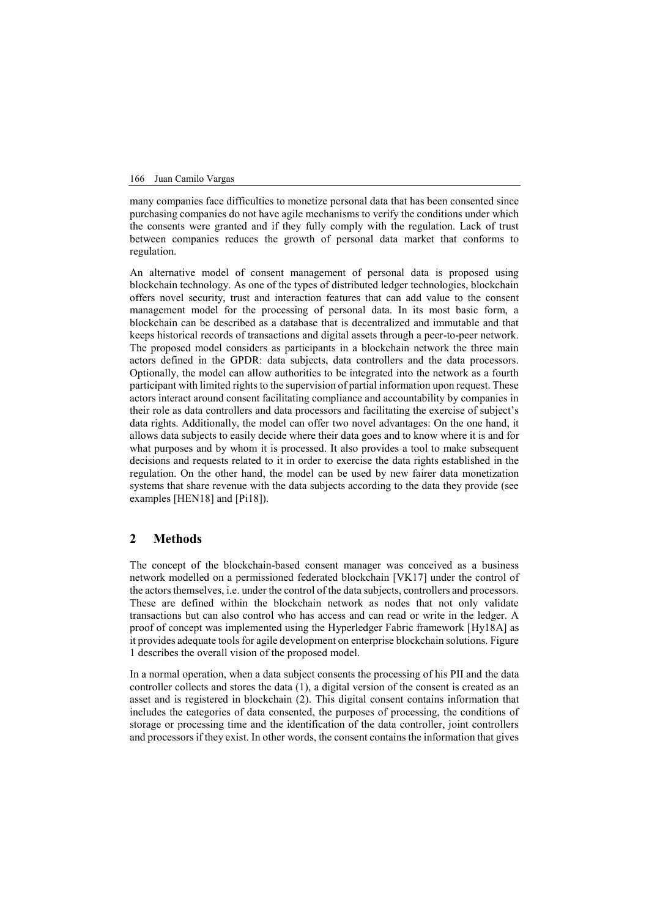166 Juan Camilo Vargas

many companies face difficulties to monetize personal data that has been consented since purchasing companies do not have agile mechanisms to verify the conditions under which the consents were granted and if they fully comply with the regulation. Lack of trust between companies reduces the growth of personal data market that conforms to regulation.

An alternative model of consent management of personal data is proposed using blockchain technology. As one of the types of distributed ledger technologies, blockchain offers novel security, trust and interaction features that can add value to the consent management model for the processing of personal data. In its most basic form, a blockchain can be described as a database that is decentralized and immutable and that keeps historical records of transactions and digital assets through a peer-to-peer network. The proposed model considers as participants in a blockchain network the three main actors defined in the GPDR: data subjects, data controllers and the data processors. Optionally, the model can allow authorities to be integrated into the network as a fourth participant with limited rights to the supervision of partial information upon request. These actors interact around consent facilitating compliance and accountability by companies in their role as data controllers and data processors and facilitating the exercise of subject's data rights. Additionally, the model can offer two novel advantages: On the one hand, it allows data subjects to easily decide where their data goes and to know where it is and for what purposes and by whom it is processed. It also provides a tool to make subsequent decisions and requests related to it in order to exercise the data rights established in the regulation. On the other hand, the model can be used by new fairer data monetization systems that share revenue with the data subjects according to the data they provide (see examples [HEN18] and [Pi18]).

#### **2 Methods**

The concept of the blockchain-based consent manager was conceived as a business network modelled on a permissioned federated blockchain [VK17] under the control of the actors themselves, i.e. under the control of the data subjects, controllers and processors. These are defined within the blockchain network as nodes that not only validate transactions but can also control who has access and can read or write in the ledger. A proof of concept was implemented using the Hyperledger Fabric framework [Hy18A] as it provides adequate tools for agile development on enterprise blockchain solutions. Figure 1 describes the overall vision of the proposed model.

In a normal operation, when a data subject consents the processing of his PII and the data controller collects and stores the data (1), a digital version of the consent is created as an asset and is registered in blockchain (2). This digital consent contains information that includes the categories of data consented, the purposes of processing, the conditions of storage or processing time and the identification of the data controller, joint controllers and processors if they exist. In other words, the consent contains the information that gives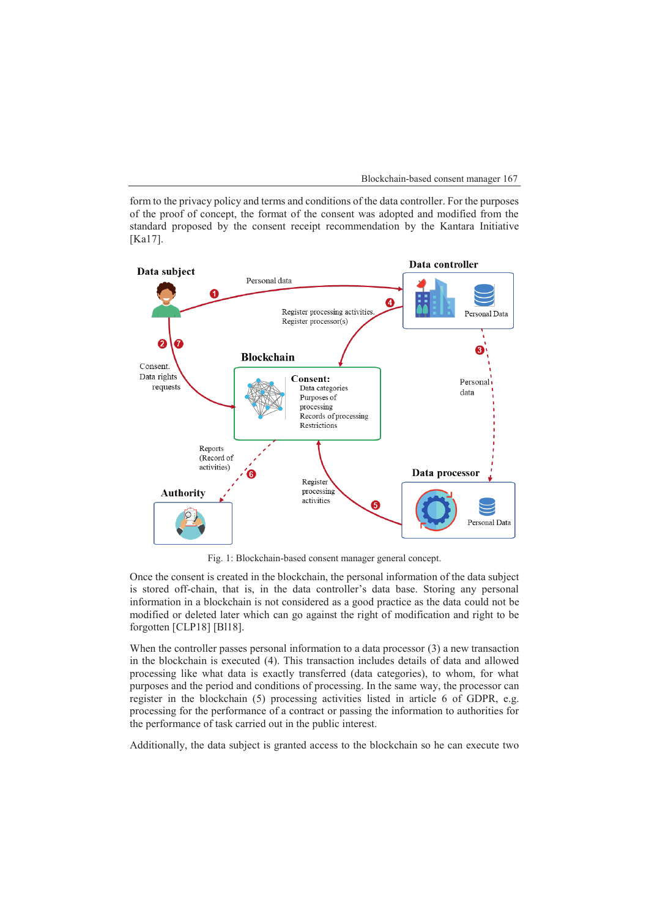form to the privacy policy and terms and conditions of the data controller. For the purposes of the proof of concept, the format of the consent was adopted and modified from the standard proposed by the consent receipt recommendation by the Kantara Initiative [Ka17].



Fig. 1: Blockchain-based consent manager general concept.

Once the consent is created in the blockchain, the personal information of the data subject is stored off-chain, that is, in the data controller's data base. Storing any personal information in a blockchain is not considered as a good practice as the data could not be modified or deleted later which can go against the right of modification and right to be forgotten [CLP18] [Bl18].

When the controller passes personal information to a data processor (3) a new transaction in the blockchain is executed (4). This transaction includes details of data and allowed processing like what data is exactly transferred (data categories), to whom, for what purposes and the period and conditions of processing. In the same way, the processor can register in the blockchain (5) processing activities listed in article 6 of GDPR, e.g. processing for the performance of a contract or passing the information to authorities for the performance of task carried out in the public interest.

Additionally, the data subject is granted access to the blockchain so he can execute two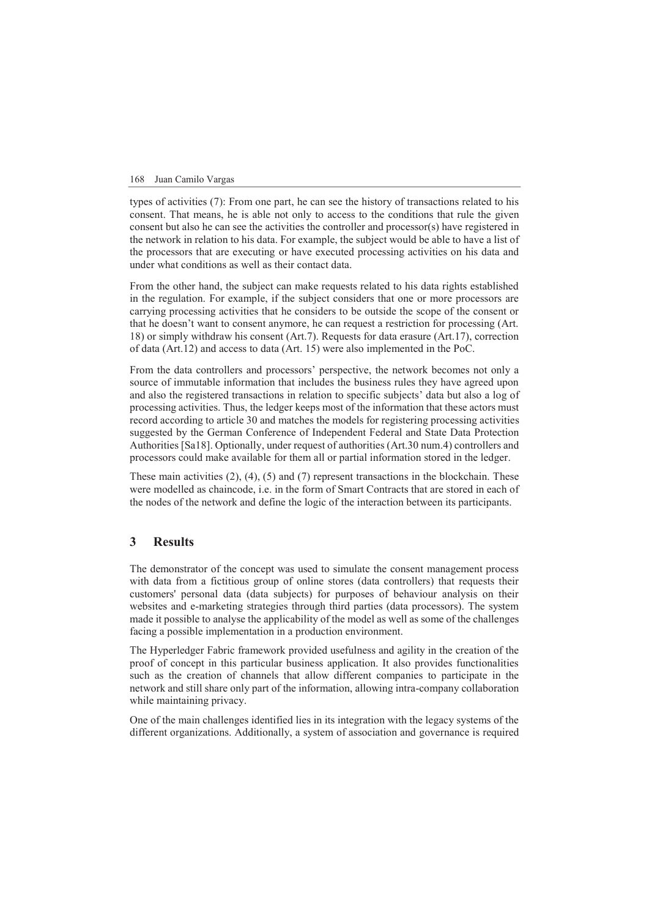168 Juan Camilo Vargas

types of activities (7): From one part, he can see the history of transactions related to his consent. That means, he is able not only to access to the conditions that rule the given consent but also he can see the activities the controller and processor(s) have registered in the network in relation to his data. For example, the subject would be able to have a list of the processors that are executing or have executed processing activities on his data and under what conditions as well as their contact data.

From the other hand, the subject can make requests related to his data rights established in the regulation. For example, if the subject considers that one or more processors are carrying processing activities that he considers to be outside the scope of the consent or that he doesn't want to consent anymore, he can request a restriction for processing (Art. 18) or simply withdraw his consent (Art.7). Requests for data erasure (Art.17), correction of data (Art.12) and access to data (Art. 15) were also implemented in the PoC.

From the data controllers and processors' perspective, the network becomes not only a source of immutable information that includes the business rules they have agreed upon and also the registered transactions in relation to specific subjects' data but also a log of processing activities. Thus, the ledger keeps most of the information that these actors must record according to article 30 and matches the models for registering processing activities suggested by the German Conference of Independent Federal and State Data Protection Authorities [Sa18]. Optionally, under request of authorities (Art.30 num.4) controllers and processors could make available for them all or partial information stored in the ledger.

These main activities  $(2)$ ,  $(4)$ ,  $(5)$  and  $(7)$  represent transactions in the blockchain. These were modelled as chaincode, i.e. in the form of Smart Contracts that are stored in each of the nodes of the network and define the logic of the interaction between its participants.

# **3 Results**

The demonstrator of the concept was used to simulate the consent management process with data from a fictitious group of online stores (data controllers) that requests their customers' personal data (data subjects) for purposes of behaviour analysis on their websites and e-marketing strategies through third parties (data processors). The system made it possible to analyse the applicability of the model as well as some of the challenges facing a possible implementation in a production environment.

The Hyperledger Fabric framework provided usefulness and agility in the creation of the proof of concept in this particular business application. It also provides functionalities such as the creation of channels that allow different companies to participate in the network and still share only part of the information, allowing intra-company collaboration while maintaining privacy.

One of the main challenges identified lies in its integration with the legacy systems of the different organizations. Additionally, a system of association and governance is required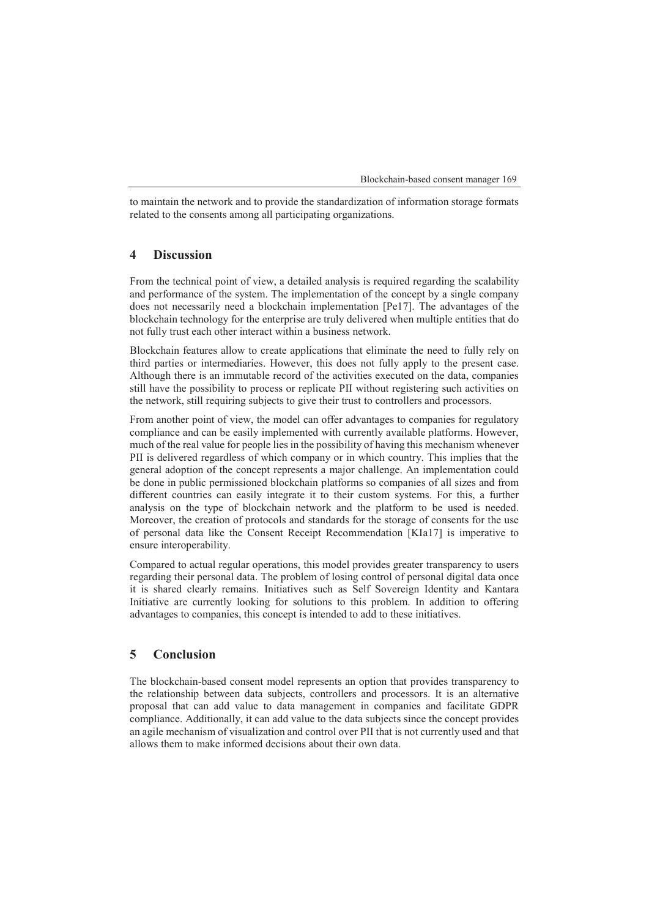to maintain the network and to provide the standardization of information storage formats related to the consents among all participating organizations.

#### **4 Discussion**

From the technical point of view, a detailed analysis is required regarding the scalability and performance of the system. The implementation of the concept by a single company does not necessarily need a blockchain implementation [Pe17]. The advantages of the blockchain technology for the enterprise are truly delivered when multiple entities that do not fully trust each other interact within a business network.

Blockchain features allow to create applications that eliminate the need to fully rely on third parties or intermediaries. However, this does not fully apply to the present case. Although there is an immutable record of the activities executed on the data, companies still have the possibility to process or replicate PII without registering such activities on the network, still requiring subjects to give their trust to controllers and processors.

Additional to be the consent manager (Blockchain-based consent manager 169<br>
to maintain the networks around provide the standardizations of information storage format<br> **4** Discussion<br>
From the technical point of view, a d From another point of view, the model can offer advantages to companies for regulatory compliance and can be easily implemented with currently available platforms. However, much of the real value for people lies in the possibility of having this mechanism whenever PII is delivered regardless of which company or in which country. This implies that the general adoption of the concept represents a major challenge. An implementation could be done in public permissioned blockchain platforms so companies of all sizes and from different countries can easily integrate it to their custom systems. For this, a further analysis on the type of blockchain network and the platform to be used is needed. Moreover, the creation of protocols and standards for the storage of consents for the use of personal data like the Consent Receipt Recommendation [KIa17] is imperative to ensure interoperability.

Compared to actual regular operations, this model provides greater transparency to users regarding their personal data. The problem of losing control of personal digital data once it is shared clearly remains. Initiatives such as Self Sovereign Identity and Kantara Initiative are currently looking for solutions to this problem. In addition to offering advantages to companies, this concept is intended to add to these initiatives.

## **5 Conclusion**

The blockchain-based consent model represents an option that provides transparency to the relationship between data subjects, controllers and processors. It is an alternative proposal that can add value to data management in companies and facilitate GDPR compliance. Additionally, it can add value to the data subjects since the concept provides an agile mechanism of visualization and control over PII that is not currently used and that allows them to make informed decisions about their own data.